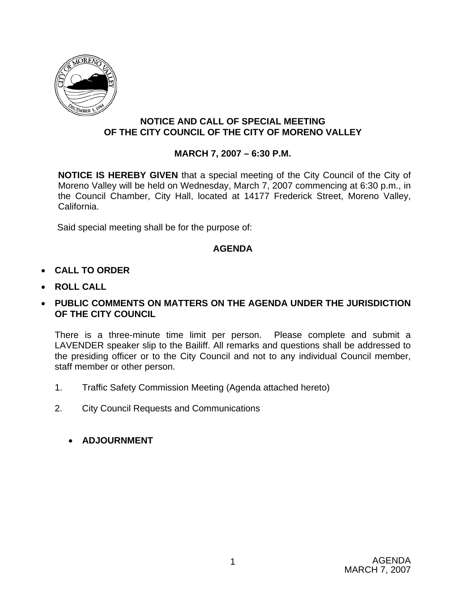

## **NOTICE AND CALL OF SPECIAL MEETING OF THE CITY COUNCIL OF THE CITY OF MORENO VALLEY**

# **MARCH 7, 2007 – 6:30 P.M.**

**NOTICE IS HEREBY GIVEN** that a special meeting of the City Council of the City of Moreno Valley will be held on Wednesday, March 7, 2007 commencing at 6:30 p.m., in the Council Chamber, City Hall, located at 14177 Frederick Street, Moreno Valley, California.

Said special meeting shall be for the purpose of:

# **AGENDA**

- **CALL TO ORDER**
- **ROLL CALL**

# • **PUBLIC COMMENTS ON MATTERS ON THE AGENDA UNDER THE JURISDICTION OF THE CITY COUNCIL**

There is a three-minute time limit per person. Please complete and submit a LAVENDER speaker slip to the Bailiff. All remarks and questions shall be addressed to the presiding officer or to the City Council and not to any individual Council member, staff member or other person.

- 1. Traffic Safety Commission Meeting (Agenda attached hereto)
- 2. City Council Requests and Communications
	- **ADJOURNMENT**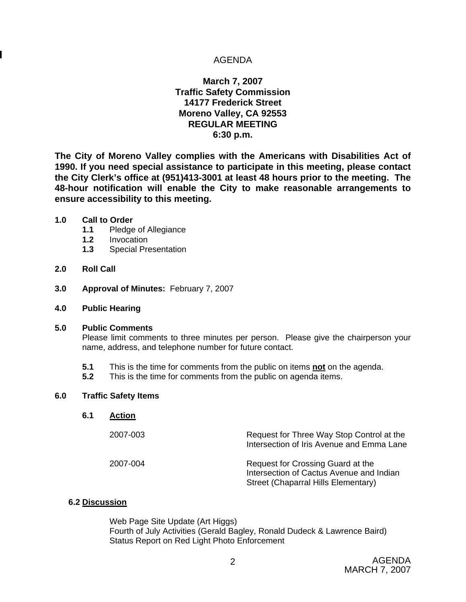### AGENDA

### **March 7, 2007 Traffic Safety Commission 14177 Frederick Street Moreno Valley, CA 92553 REGULAR MEETING 6:30 p.m.**

**The City of Moreno Valley complies with the Americans with Disabilities Act of 1990. If you need special assistance to participate in this meeting, please contact the City Clerk's office at (951)413-3001 at least 48 hours prior to the meeting. The 48-hour notification will enable the City to make reasonable arrangements to ensure accessibility to this meeting.** 

#### **1.0 Call to Order**

- **1.1** Pledge of Allegiance
- **1.2** Invocation
- **1.3** Special Presentation

### **2.0 Roll Call**

- **3.0 Approval of Minutes:** February 7, 2007
- **4.0 Public Hearing**

#### **5.0 Public Comments**

Please limit comments to three minutes per person. Please give the chairperson your name, address, and telephone number for future contact.

- **5.1** This is the time for comments from the public on items **not** on the agenda.
- **5.2** This is the time for comments from the public on agenda items.

#### **6.0 Traffic Safety Items**

| 6.1 | Action   |                                                                                                                      |
|-----|----------|----------------------------------------------------------------------------------------------------------------------|
|     | 2007-003 | Request for Three Way Stop Control at the<br>Intersection of Iris Avenue and Emma Lane                               |
|     | 2007-004 | Request for Crossing Guard at the<br>Intersection of Cactus Avenue and Indian<br>Street (Chaparral Hills Elementary) |

### **6.2 Discussion**

Web Page Site Update (Art Higgs) Fourth of July Activities (Gerald Bagley, Ronald Dudeck & Lawrence Baird) Status Report on Red Light Photo Enforcement